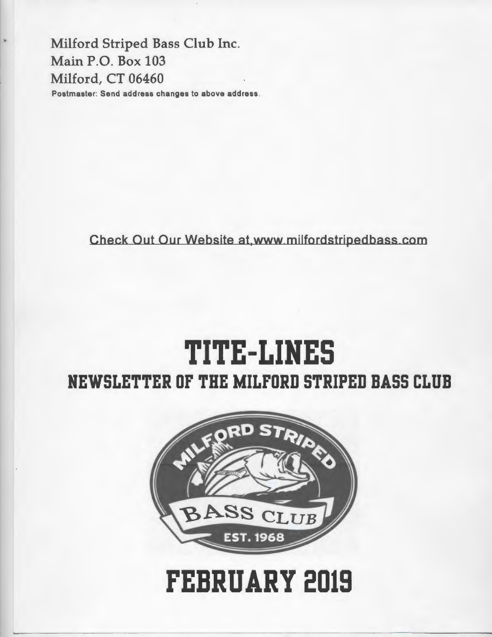Milford Striped Bass Club Inc. Main P.O. Box 103 Milford, CT 06460 Postmaster: Send address changes to above address.

#### Check Out Our Website at,www milfordstripedbass com

## **TITE-LIHES NEWSLETTER OF THE MILFORD STRIPED BASS CLUB**



# **FEBRUARY 2019**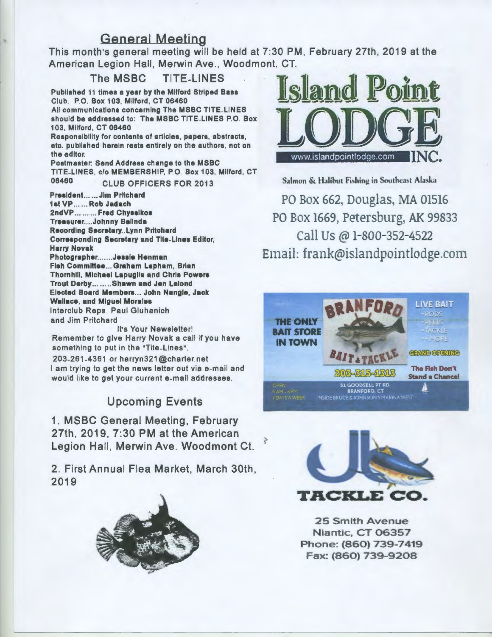#### General Meeting

This month's general meeting will be held at 7:30 PM, February 27th, 2019 at the American Legion Hall, Merwin Ave., Woodmont. CT.

#### The MSBC TITE-LINES

Published 11 times a year by the Milford Striped Bass Club. P.O. Box 103, Milford, CT 06460 All communications concerning The MSBC TITE-LINES should be addressed to: The MSBC TITE-LINES P.O. Box 103, Milford, CT 06460 Responsibility for contents of articles, papers, abstracts, etc. published herein rests entirely on the authors, not on

the editor. Postmaster: Send Address change to the MSBC TITE-LINES, c/o MEMBERSHIP, P.O. Box 103, Milford, CT

#### 06460 CLUB OFFICERS FOR 2013

Preaident... ... Jim Pritchard 1st VP ...... Rob Jadach 2ndVP......... Fred Chyssikos Treasurer....Johnny Belinda Recording Secretary..Lynn Pritchard Correaponding Secretary and Tite-Llnea Editor, Harry Novak Photographer.......Jessie Henman Fiah Committee ... Graham Lapham, Brian Thornhill, Michael Lapuglia and Chria Powers Trout Derby ........ Shawn and Jen Lalond Elected Board Members... John Nangle, Jack Wallace, and Miguel Morales lnterclub Reps. Paul Gluhanich and Jim Pritchard

It's Your Newsletter! Remember to give Harry Novak a call if you have something to put in the "Tite-Lines".

203-261 -4361 or harryn321 @charter. net I am trying to get the news letter out via e-mail and would like to get your current e-mail addresses.

#### Upcoming Events

1. MSBC General Meeting, February 27th, 2019, 7:30 PM at the American Legion Hall, Merwin Ave. Woodmont Ct.

2. First Annual Flea Market, March 30th, 2019





Salmon & Halibut Fishing in Southeast Alaska PO Box 662, Douglas, MA 01516 PO Box 1669, Petersburg, AK 99833 Call Us @ 1-800-352-4522 Email: frank@islandpointlodge.com





25 Smith Avenue Niantic. CT 06357 Phone: (860) 739-7419 Fax: (860) 739-9208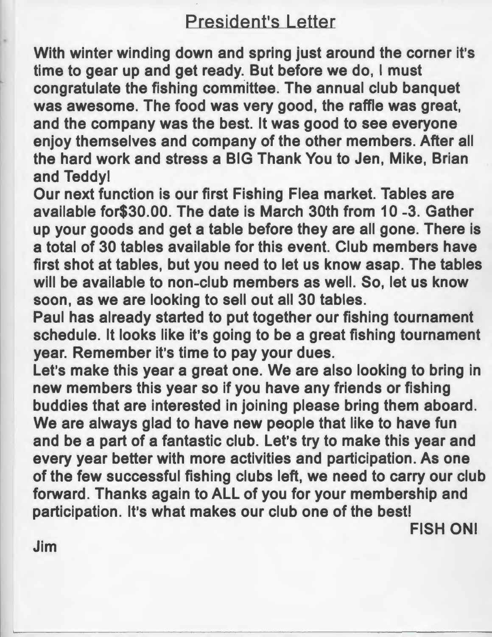## President's Letter

With winter winding down and spring just around the corner it's time to gear up and get ready. But before we do, I must congratulate the fishing committee. The annual club banquet was awesome. The food was very good, the raffle was great. and the company was the best. It was good to see everyone enjoy themselves and company of the other members. After all the hard work and stress a BIG Thank You to Jen, Mike, Brian and Teddyl

Our next function is our first Fishing Flea market. Tables are available for\$30.00. The date is March 30th from 10 -3. Gather up your goods and get a table before they are all gone. There is a total of 30 tables available for this event. Club members have first shot at tables, but you need to let us know asap. The tables will be available to non-club members as well. So, let us know soon, as we are looking to sell out all 30 tables.

Paul has already started to put together our fishing tournament schedule. It looks like it's going to be a great fishing tournament year. Remember it's time to pay your dues.

Let's make this year a great one. We are also looking to bring in new members this year so if you have any friends or fishing buddies that are interested in joining please bring them aboard. We are always glad to have new people that like to have fun and be a part of a fantastic club. Let's try to make this year and every year better with more activities and participation. As one of the few successful fishing clubs left, we need to carry our club forward. Thanks again to ALL of you for your membership and participation. It's what makes our club one of the best!

FISH ON!

Jim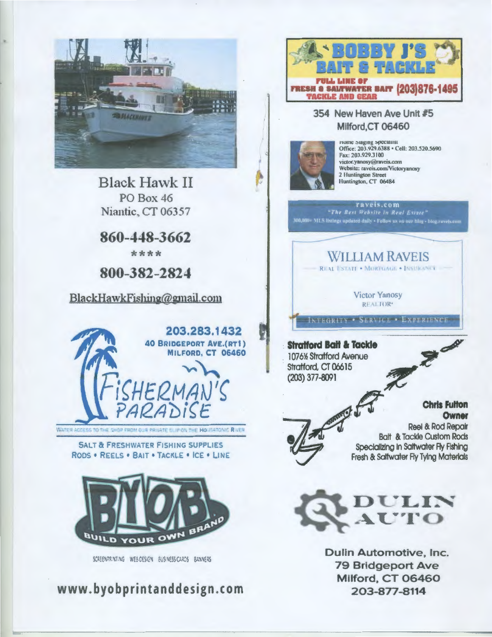

**Black Hawk II PO Box 46** Niantic, CT 06357

860-448-3662

\*\*\*\*

800-382-2824

BlackHawkFishing@gmail.com



**SALT & FRESHWATER FISHING SUPPLIES** RODS . REELS . BAIT . TACKLE . ICE . LINE



KREENRICH WESCHICH BUSINESCHOS BANGIS

www.byobprintanddesign.com



#### 354 New Haven Ave Unit #5 Milford.CT 06460



riome staging specialist<br>Office: 203.929.6388 · Cell: 203.520.5690 Fax: 203.929.3100 victor.yanosy@raveis.com Website: raveis.com/Victoryanosy 2 Huntington Street Huntington, CT 06484

## ravels.com<br>"The Best Website in Real Extate"

100,000+ MLS listings updated daily . Follow us on our blog - blog.ravels.co

### WILLIAM RAVEIS

REAL ESTATE . MORTGAGE . INSURANCE

**Victor Yanosy** REALTOR<sup>®</sup>

#### INTEGRITY . SERVICE . EXPERIENCE

**Stratford Bait & Tackle** 1076% Stratford Avenue Stratford, CT 06615  $(203)$  377-8091



**Chris Fulton** Owner **Reel & Rod Repair Balt & Tackle Custom Rods** Specializing in Saltwater Fly Fishing Fresh & Saltwater Fly Tying Materials



Dulin Automotive, Inc. **79 Bridgeport Ave** Milford, CT 06460 203-877-8114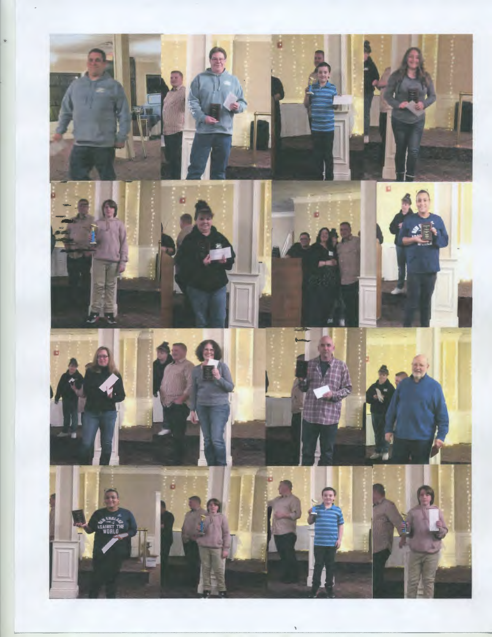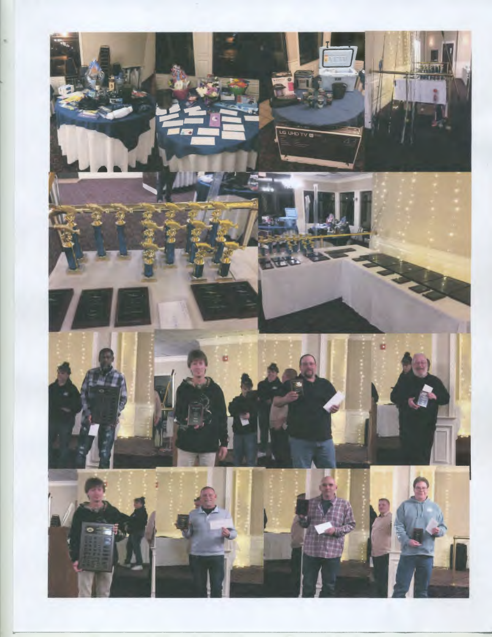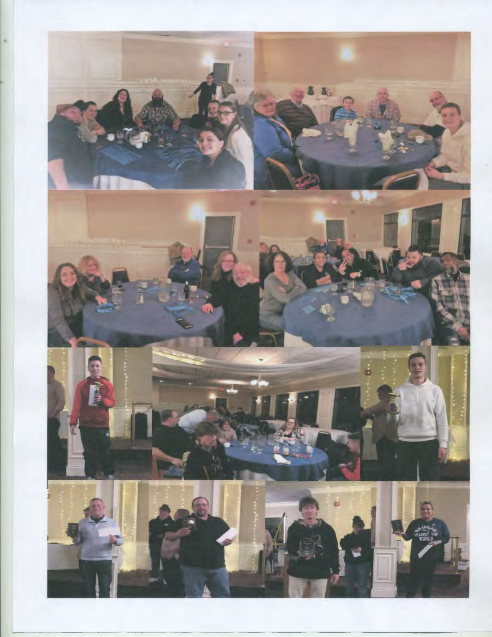